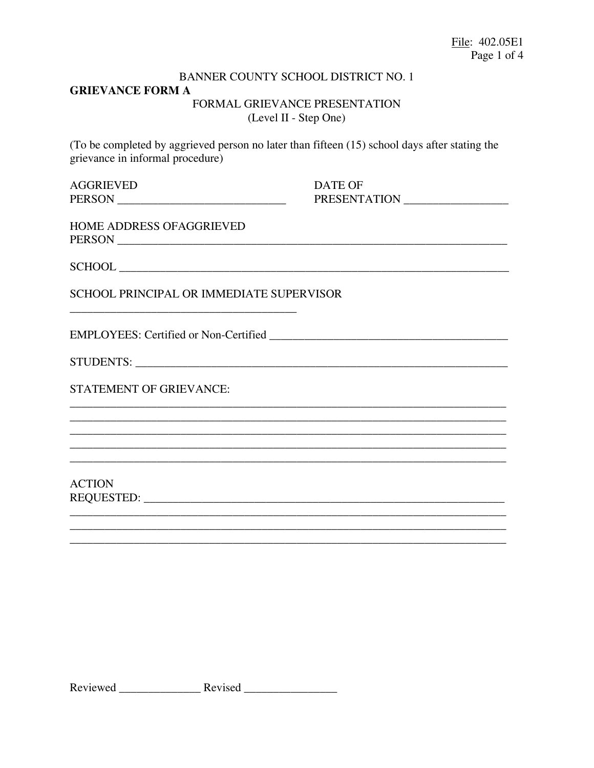# **BANNER COUNTY SCHOOL DISTRICT NO. 1 GRIEVANCE FORM A** FORMAL GRIEVANCE PRESENTATION (Level II - Step One)

(To be completed by aggrieved person no later than fifteen (15) school days after stating the grievance in informal procedure)

| AGGRIEVED     |  |  |
|---------------|--|--|
| <b>PERSON</b> |  |  |

**DATE OF** PRESENTATION

| HOME ADDRESS OFAGGRIEVED |  |
|--------------------------|--|
| PERSON                   |  |

SCHOOL PRINCIPAL OR IMMEDIATE SUPERVISOR

**STATEMENT OF GRIEVANCE:** 

**ACTION** REQUESTED: NATIONAL PRODUCTION CONTROL CONTROL CONTROL CONTROL CONTROL CONTROL CONTROL CONTROL CONTROL CONTROL CONTROL CONTROL CONTROL CONTROL CONTROL CONTROL CONTROL CONTROL CONTROL CONTROL CONTROL CONTROL CONTROL CONTROL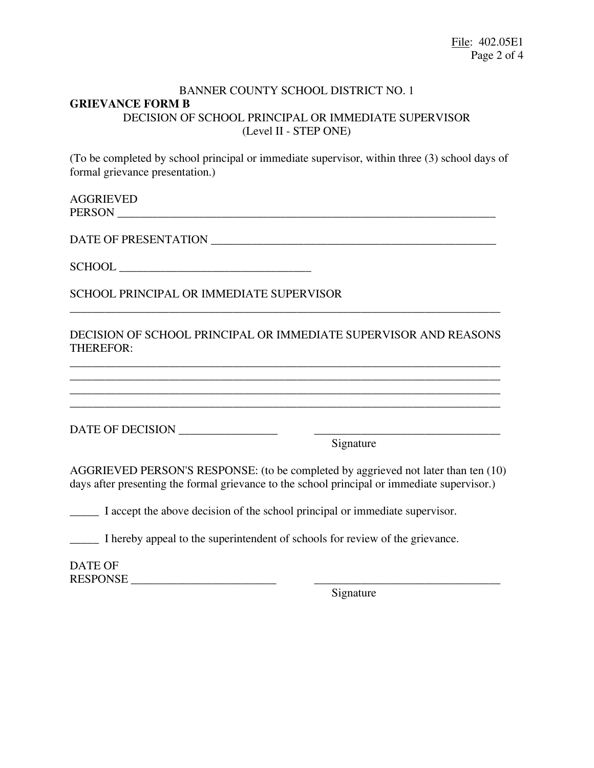### BANNER COUNTY SCHOOL DISTRICT NO. 1 **GRIEVANCE FORM B** DECISION OF SCHOOL PRINCIPAL OR IMMEDIATE SUPERVISOR (Level II - STEP ONE)

(To be completed by school principal or immediate supervisor, within three (3) school days of formal grievance presentation.)

AGGRIEVED PERSON \_\_\_\_\_\_\_\_\_\_\_\_\_\_\_\_\_\_\_\_\_\_\_\_\_\_\_\_\_\_\_\_\_\_\_\_\_\_\_\_\_\_\_\_\_\_\_\_\_\_\_\_\_\_\_\_\_\_\_\_\_\_\_\_\_

DATE OF PRESENTATION \_\_\_\_\_\_\_\_\_\_\_\_\_\_\_\_\_\_\_\_\_\_\_\_\_\_\_\_\_\_\_\_\_\_\_\_\_\_\_\_\_\_\_\_\_\_\_\_\_

SCHOOL \_\_\_\_\_\_\_\_\_\_\_\_\_\_\_\_\_\_\_\_\_\_\_\_\_\_\_\_\_\_\_\_\_

SCHOOL PRINCIPAL OR IMMEDIATE SUPERVISOR

DECISION OF SCHOOL PRINCIPAL OR IMMEDIATE SUPERVISOR AND REASONS THEREFOR:

\_\_\_\_\_\_\_\_\_\_\_\_\_\_\_\_\_\_\_\_\_\_\_\_\_\_\_\_\_\_\_\_\_\_\_\_\_\_\_\_\_\_\_\_\_\_\_\_\_\_\_\_\_\_\_\_\_\_\_\_\_\_\_\_\_\_\_\_\_\_\_\_\_\_ \_\_\_\_\_\_\_\_\_\_\_\_\_\_\_\_\_\_\_\_\_\_\_\_\_\_\_\_\_\_\_\_\_\_\_\_\_\_\_\_\_\_\_\_\_\_\_\_\_\_\_\_\_\_\_\_\_\_\_\_\_\_\_\_\_\_\_\_\_\_\_\_\_\_ \_\_\_\_\_\_\_\_\_\_\_\_\_\_\_\_\_\_\_\_\_\_\_\_\_\_\_\_\_\_\_\_\_\_\_\_\_\_\_\_\_\_\_\_\_\_\_\_\_\_\_\_\_\_\_\_\_\_\_\_\_\_\_\_\_\_\_\_\_\_\_\_\_\_ \_\_\_\_\_\_\_\_\_\_\_\_\_\_\_\_\_\_\_\_\_\_\_\_\_\_\_\_\_\_\_\_\_\_\_\_\_\_\_\_\_\_\_\_\_\_\_\_\_\_\_\_\_\_\_\_\_\_\_\_\_\_\_\_\_\_\_\_\_\_\_\_\_\_

\_\_\_\_\_\_\_\_\_\_\_\_\_\_\_\_\_\_\_\_\_\_\_\_\_\_\_\_\_\_\_\_\_\_\_\_\_\_\_\_\_\_\_\_\_\_\_\_\_\_\_\_\_\_\_\_\_\_\_\_\_\_\_\_\_\_\_\_\_\_\_\_\_\_

DATE OF DECISION \_\_\_\_\_\_\_\_\_\_\_\_\_\_\_\_\_ \_\_\_\_\_\_\_\_\_\_\_\_\_\_\_\_\_\_\_\_\_\_\_\_\_\_\_\_\_\_\_\_

Signature

AGGRIEVED PERSON'S RESPONSE: (to be completed by aggrieved not later than ten (10) days after presenting the formal grievance to the school principal or immediate supervisor.)

\_\_\_\_\_ I accept the above decision of the school principal or immediate supervisor.

\_\_\_\_\_ I hereby appeal to the superintendent of schools for review of the grievance.

DATE OF RESPONSE \_\_\_\_\_\_\_\_\_\_\_\_\_\_\_\_\_\_\_\_\_\_\_\_\_ \_\_\_\_\_\_\_\_\_\_\_\_\_\_\_\_\_\_\_\_\_\_\_\_\_\_\_\_\_\_\_\_

Signature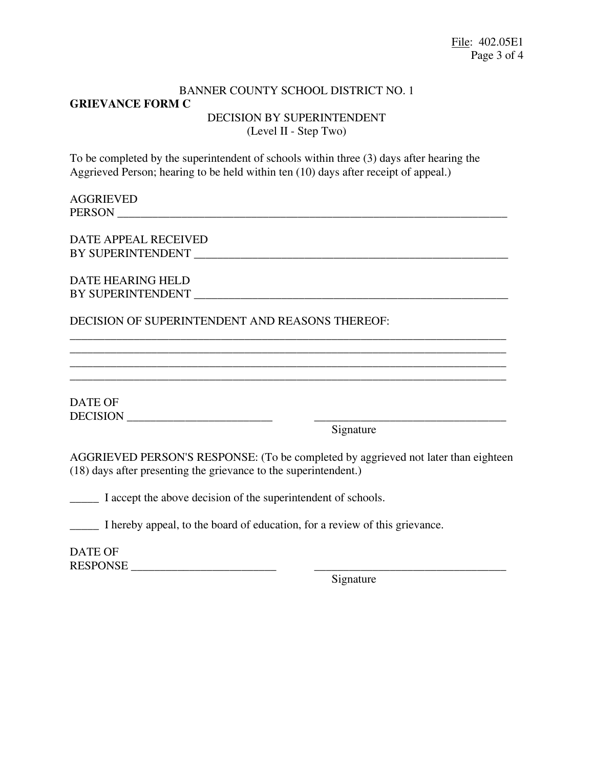# BANNER COUNTY SCHOOL DISTRICT NO. 1 **GRIEVANCE FORM C** DECISION BY SUPERINTENDENT (Level II - Step Two)

To be completed by the superintendent of schools within three (3) days after hearing the Aggrieved Person; hearing to be held within ten (10) days after receipt of appeal.)

#### AGGRIEVED PERSON \_\_\_\_\_\_\_\_\_\_\_\_\_\_\_\_\_\_\_\_\_\_\_\_\_\_\_\_\_\_\_\_\_\_\_\_\_\_\_\_\_\_\_\_\_\_\_\_\_\_\_\_\_\_\_\_\_\_\_\_\_\_\_\_\_\_\_

DATE APPEAL RECEIVED BY SUPERINTENDENT \_\_\_\_\_\_\_\_\_\_\_\_\_\_\_\_\_\_\_\_\_\_\_\_\_\_\_\_\_\_\_\_\_\_\_\_\_\_\_\_\_\_\_\_\_\_\_\_\_\_\_\_\_\_

# DATE HEARING HELD BY SUPERINTENDENT

# DECISION OF SUPERINTENDENT AND REASONS THEREOF:

DATE OF DECISION \_\_\_\_\_\_\_\_\_\_\_\_\_\_\_\_\_\_\_\_\_\_\_\_\_ \_\_\_\_\_\_\_\_\_\_\_\_\_\_\_\_\_\_\_\_\_\_\_\_\_\_\_\_\_\_\_\_\_

Signature

AGGRIEVED PERSON'S RESPONSE: (To be completed by aggrieved not later than eighteen (18) days after presenting the grievance to the superintendent.)

\_\_\_\_\_\_\_\_\_\_\_\_\_\_\_\_\_\_\_\_\_\_\_\_\_\_\_\_\_\_\_\_\_\_\_\_\_\_\_\_\_\_\_\_\_\_\_\_\_\_\_\_\_\_\_\_\_\_\_\_\_\_\_\_\_\_\_\_\_\_\_\_\_\_\_

\_\_\_\_\_\_\_\_\_\_\_\_\_\_\_\_\_\_\_\_\_\_\_\_\_\_\_\_\_\_\_\_\_\_\_\_\_\_\_\_\_\_\_\_\_\_\_\_\_\_\_\_\_\_\_\_\_\_\_\_\_\_\_\_\_\_\_\_\_\_\_\_\_\_\_

\_\_\_\_\_ I accept the above decision of the superintendent of schools.

\_\_\_\_\_ I hereby appeal, to the board of education, for a review of this grievance.

DATE OF RESPONSE \_\_\_\_\_\_\_\_\_\_\_\_\_\_\_\_\_\_\_\_\_\_\_\_\_ \_\_\_\_\_\_\_\_\_\_\_\_\_\_\_\_\_\_\_\_\_\_\_\_\_\_\_\_\_\_\_\_\_

Signature